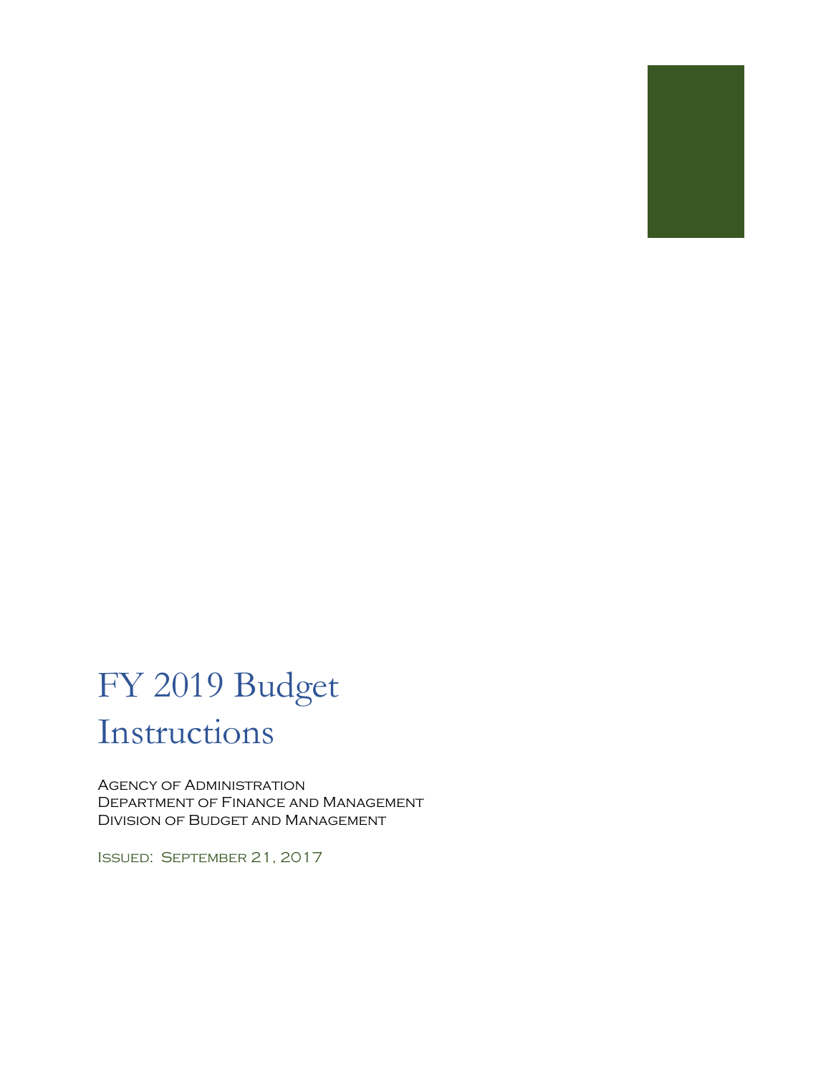

# FY 2019 Budget Instructions

Agency of Administration Department of Finance and Management Division of Budget and Management

Issued: September 21, 2017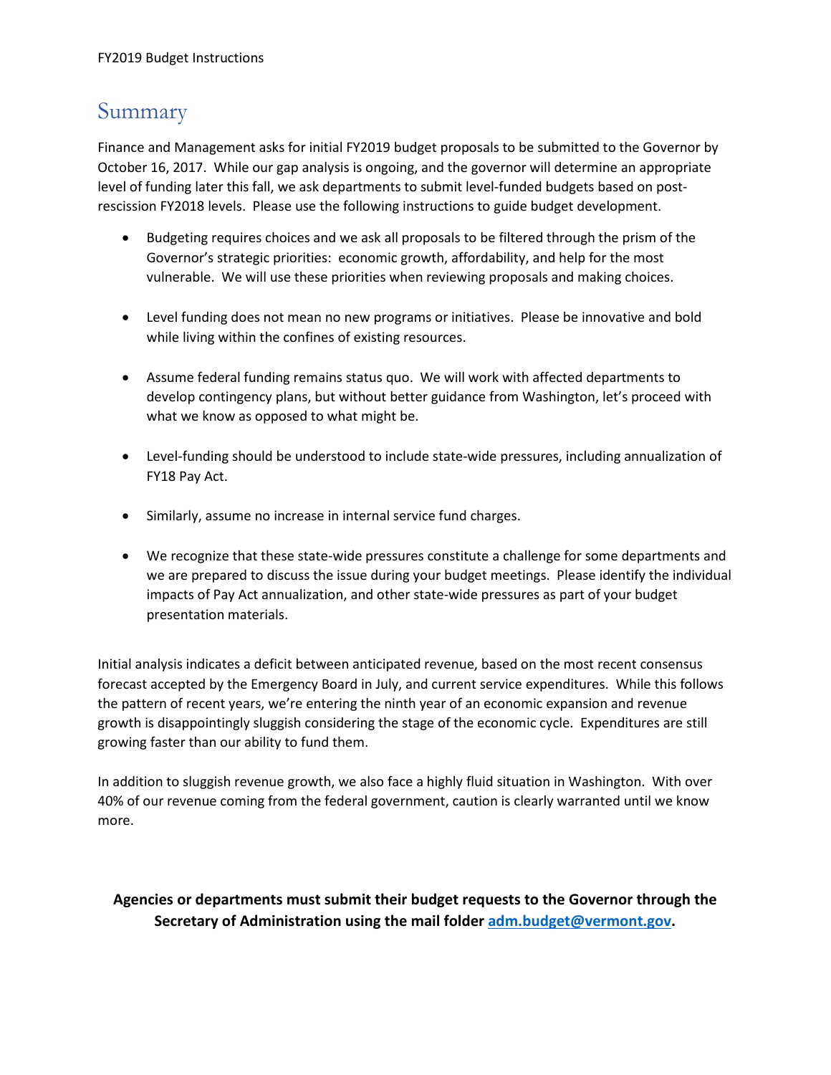## Summary

Finance and Management asks for initial FY2019 budget proposals to be submitted to the Governor by October 16, 2017. While our gap analysis is ongoing, and the governor will determine an appropriate level of funding later this fall, we ask departments to submit level-funded budgets based on postrescission FY2018 levels. Please use the following instructions to guide budget development.

- Budgeting requires choices and we ask all proposals to be filtered through the prism of the Governor's strategic priorities: economic growth, affordability, and help for the most vulnerable. We will use these priorities when reviewing proposals and making choices.
- Level funding does not mean no new programs or initiatives. Please be innovative and bold while living within the confines of existing resources.
- Assume federal funding remains status quo. We will work with affected departments to develop contingency plans, but without better guidance from Washington, let's proceed with what we know as opposed to what might be.
- Level-funding should be understood to include state-wide pressures, including annualization of FY18 Pay Act.
- Similarly, assume no increase in internal service fund charges.
- We recognize that these state-wide pressures constitute a challenge for some departments and we are prepared to discuss the issue during your budget meetings. Please identify the individual impacts of Pay Act annualization, and other state-wide pressures as part of your budget presentation materials.

Initial analysis indicates a deficit between anticipated revenue, based on the most recent consensus forecast accepted by the Emergency Board in July, and current service expenditures. While this follows the pattern of recent years, we're entering the ninth year of an economic expansion and revenue growth is disappointingly sluggish considering the stage of the economic cycle. Expenditures are still growing faster than our ability to fund them.

In addition to sluggish revenue growth, we also face a highly fluid situation in Washington. With over 40% of our revenue coming from the federal government, caution is clearly warranted until we know more.

#### **Agencies or departments must submit their budget requests to the Governor through the Secretary of Administration using the mail folde[r adm.budget@vermont.gov.](mailto:adm.budget@vermont.gov)**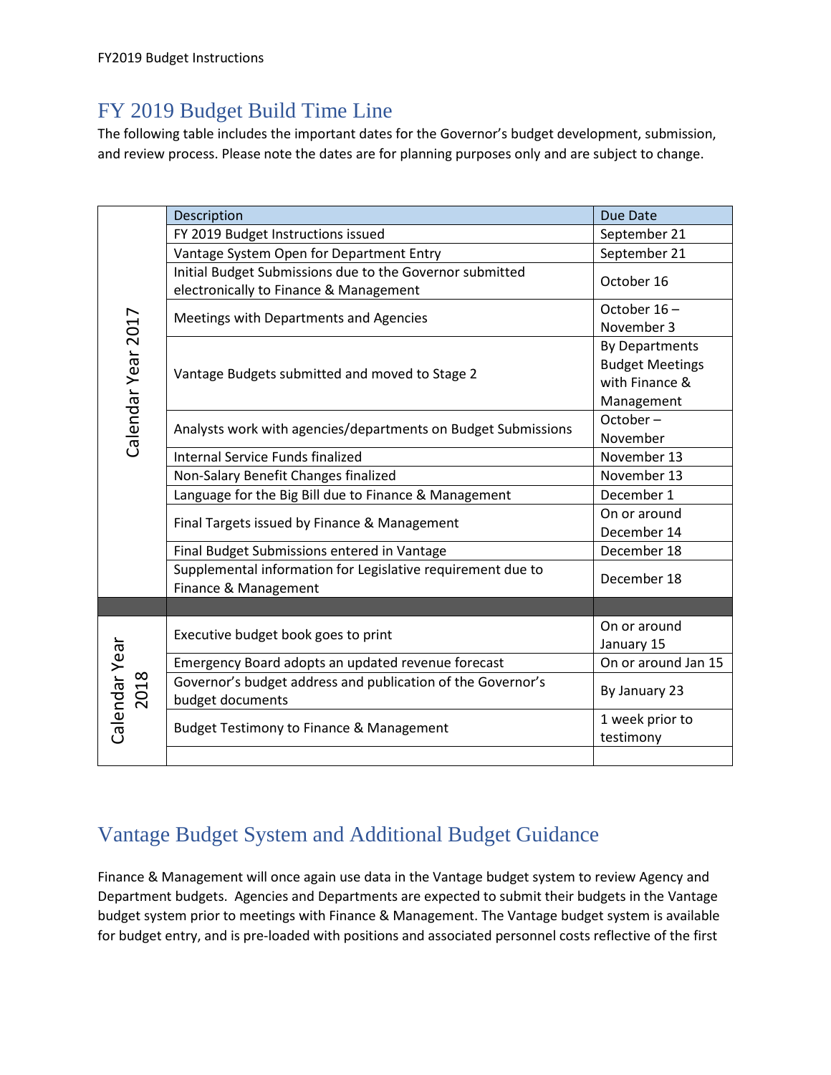### FY 2019 Budget Build Time Line

The following table includes the important dates for the Governor's budget development, submission, and review process. Please note the dates are for planning purposes only and are subject to change.

| Calendar Year 2017    | Description                                                                                        | Due Date                                                                        |
|-----------------------|----------------------------------------------------------------------------------------------------|---------------------------------------------------------------------------------|
|                       | FY 2019 Budget Instructions issued                                                                 | September 21                                                                    |
|                       | Vantage System Open for Department Entry                                                           | September 21                                                                    |
|                       | Initial Budget Submissions due to the Governor submitted<br>electronically to Finance & Management | October 16                                                                      |
|                       | Meetings with Departments and Agencies                                                             | October 16-<br>November 3                                                       |
|                       | Vantage Budgets submitted and moved to Stage 2                                                     | <b>By Departments</b><br><b>Budget Meetings</b><br>with Finance &<br>Management |
|                       | Analysts work with agencies/departments on Budget Submissions                                      | October-<br>November                                                            |
|                       | <b>Internal Service Funds finalized</b>                                                            | November 13                                                                     |
|                       | Non-Salary Benefit Changes finalized                                                               | November 13                                                                     |
|                       | Language for the Big Bill due to Finance & Management                                              | December 1                                                                      |
|                       | Final Targets issued by Finance & Management                                                       | On or around<br>December 14                                                     |
|                       | Final Budget Submissions entered in Vantage                                                        | December 18                                                                     |
|                       | Supplemental information for Legislative requirement due to<br>Finance & Management                | December 18                                                                     |
|                       |                                                                                                    |                                                                                 |
| Calendar Year<br>2018 | Executive budget book goes to print                                                                | On or around<br>January 15                                                      |
|                       | Emergency Board adopts an updated revenue forecast                                                 | On or around Jan 15                                                             |
|                       | Governor's budget address and publication of the Governor's<br>budget documents                    | By January 23                                                                   |
|                       | <b>Budget Testimony to Finance &amp; Management</b>                                                | 1 week prior to<br>testimony                                                    |
|                       |                                                                                                    |                                                                                 |

## Vantage Budget System and Additional Budget Guidance

Finance & Management will once again use data in the Vantage budget system to review Agency and Department budgets. Agencies and Departments are expected to submit their budgets in the Vantage budget system prior to meetings with Finance & Management. The Vantage budget system is available for budget entry, and is pre-loaded with positions and associated personnel costs reflective of the first